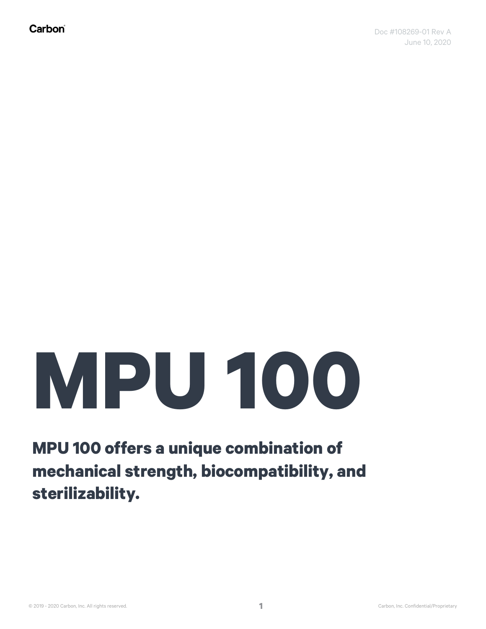# **MPU 100**

**MPU 100 offers a unique combination of mechanical strength, biocompatibility, and sterilizability.**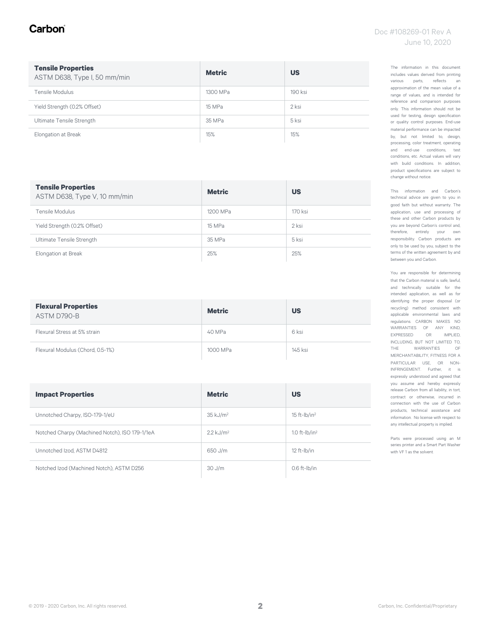# Carbon

| <b>Tensile Properties</b><br>ASTM D638, Type I, 50 mm/min | <b>Metric</b> | <b>US</b> |
|-----------------------------------------------------------|---------------|-----------|
| Tensile Modulus                                           | 1300 MPa      | 190 ksi   |
| Yield Strength (0.2% Offset)                              | 15 MPa        | 2 ksi     |
| Ultimate Tensile Strength                                 | 35 MPa        | 5 ksi     |
| Elongation at Break                                       | 15%           | 15%       |

| <b>Tensile Properties</b><br>ASTM D638, Type V, 10 mm/min | <b>Metric</b> | <b>US</b> |
|-----------------------------------------------------------|---------------|-----------|
| Tensile Modulus                                           | 1200 MPa      | 170 ksi   |
| Yield Strength (0.2% Offset)                              | 15 MPa        | 2 ksi     |
| Ultimate Tensile Strength                                 | 35 MPa        | 5 ksi     |
| Elongation at Break                                       | 25%           | 25%       |

| <b>Flexural Properties</b><br>ASTM D790-B | <b>Metric</b> | <b>US</b> |
|-------------------------------------------|---------------|-----------|
| Flexural Stress at 5% strain              | 40 MPa        | 6 ksi     |
| Flexural Modulus (Chord, 0.5-1%)          | 1000 MPa      | 145 ksi   |

| <b>Impact Properties</b>                       | <b>Metric</b>           | <b>US</b>                  |
|------------------------------------------------|-------------------------|----------------------------|
| Unnotched Charpy, ISO-179-1/eU                 | 35 kJ/m <sup>2</sup>    | $15$ ft-lb/in <sup>2</sup> |
| Notched Charpy (Machined Notch), ISO 179-1/1eA | $2.2$ kJ/m <sup>2</sup> | 1.0 ft- $lb/in2$           |
| Unnotched Izod, ASTM D4812                     | 650 J/m                 | $12$ ft- $lb/in$           |
| Notched Izod (Machined Notch), ASTM D256       | $30$ J/m                | $0.6$ ft- $lb/in$          |

The information in this document includes values derived from printing various parts, reflects an approximation of the mean value of a range of values, and is intended for reference and comparison purposes only. This information should not be used for testing, design specification or quality control purposes. End-use material performance can be impacted by, but not limited to, design, processing, color treatment, operating and end-use conditions, test conditions, etc. Actual values will vary with build conditions. In addition, product specifications are subject to change without notice.

This information and Carbon's technical advice are given to you in good faith but without warranty. The application, use and processing of these and other Carbon products by you are beyond Carbon's control and, therefore, entirely your own responsibility. Carbon products are only to be used by you, subject to the terms of the written agreement by and between you and Carbon.

You are responsible for determining that the Carbon material is safe, lawful, and technically suitable for the intended application, as well as for identifying the proper disposal (or recycling) method consistent with applicable environmental laws and regulations. CARBON MAKES NO WARRANTIES OF ANY KIND, EXPRESSED OR IMPLIED, INCLUDING, BUT NOT LIMITED TO, THE WARRANTIES OF MERCHANTABILITY, FITNESS FOR A PARTICULAR USE, OR NON-INFRINGEMENT. Further, it is expressly understood and agreed that you assume and hereby expressly release Carbon from all liability, in tort, contract or otherwise, incurred in connection with the use of Carbon products, technical assistance and information. No license with respect to any intellectual property is implied.

Parts were processed using an M series printer and a Smart Part Washer with VF 1 as the solvent.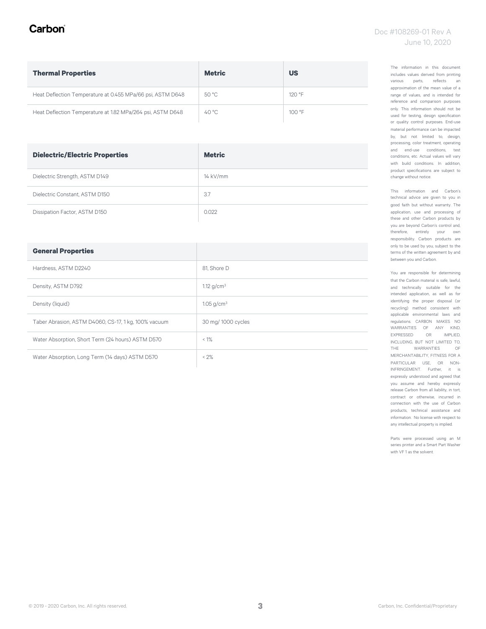# Carbon

| <b>Thermal Properties</b>                                  | <b>Metric</b> | <b>US</b> |  |
|------------------------------------------------------------|---------------|-----------|--|
| Heat Deflection Temperature at 0.455 MPa/66 psi, ASTM D648 | 50 °C         | $120°$ F  |  |
| Heat Deflection Temperature at 1.82 MPa/264 psi, ASTM D648 | 40 °C         | 100 °F    |  |

| <b>Dielectric/Electric Properties</b> | <b>Metric</b> |
|---------------------------------------|---------------|
| Dielectric Strength, ASTM D149        | 14 kV/mm      |
| Dielectric Constant, ASTM D150        | 3.7           |
| Dissipation Factor, ASTM D150         | 0.022         |

| <b>General Properties</b>                            |                          |
|------------------------------------------------------|--------------------------|
| Hardness, ASTM D2240                                 | 81. Shore D              |
| Density, ASTM D792                                   | 1.12 $g/cm^3$            |
| Density (liquid)                                     | $1.05$ g/cm <sup>3</sup> |
| Taber Abrasion, ASTM D4060, CS-17, 1 kg, 100% vacuum | 30 mg/ 1000 cycles       |
| Water Absorption, Short Term (24 hours) ASTM D570    | $< 1\%$                  |
| Water Absorption, Long Term (14 days) ASTM D570      | $< 2\%$                  |

The information in this document includes values derived from printing various parts, reflects an approximation of the mean value of a range of values, and is intended for reference and comparison purposes only. This information should not be used for testing, design specification or quality control purposes. End-use material performance can be impacted by, but not limited to, design, processing, color treatment, operating and end-use conditions, test conditions, etc. Actual values will vary with build conditions. In addition, product specifications are subject to change without notice.

This information and Carbon's technical advice are given to you in good faith but without warranty. The application, use and processing of these and other Carbon products by you are beyond Carbon's control and, therefore, entirely your own responsibility. Carbon products are only to be used by you, subject to the terms of the written agreement by and between you and Carbon.

You are responsible for determining that the Carbon material is safe, lawful, and technically suitable for the intended application, as well as for identifying the proper disposal (or recycling) method consistent with applicable environmental laws and regulations. CARBON MAKES NO WARRANTIES OF ANY KIND, EXPRESSED OR IMPLIED, INCLUDING, BUT NOT LIMITED TO, THE WARRANTIES OF MERCHANTABILITY, FITNESS FOR A PARTICULAR USE, OR NON-INFRINGEMENT. Further, it is expressly understood and agreed that you assume and hereby expressly release Carbon from all liability, in tort, contract or otherwise, incurred in connection with the use of Carbon products, technical assistance and information. No license with respect to any intellectual property is implied.

Parts were processed using an M series printer and a Smart Part Washer with VF 1 as the solvent.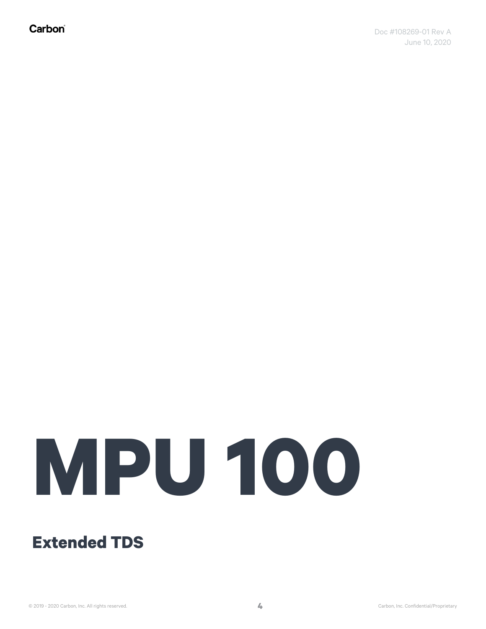Carbon®

# **MPU 100**

# **Extended TDS**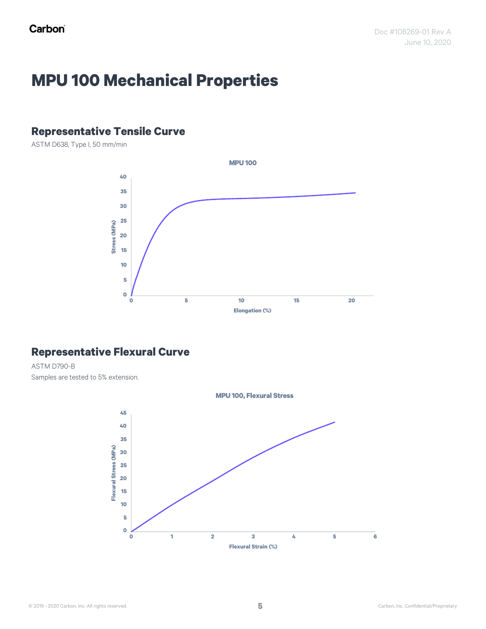# **MPU 100 Mechanical Properties**

# **Representative Tensile Curve**

ASTM D638, Type I, 50 mm/min



# **Representative Flexural Curve**

ASTM D790-B Samples are tested to 5% extension.

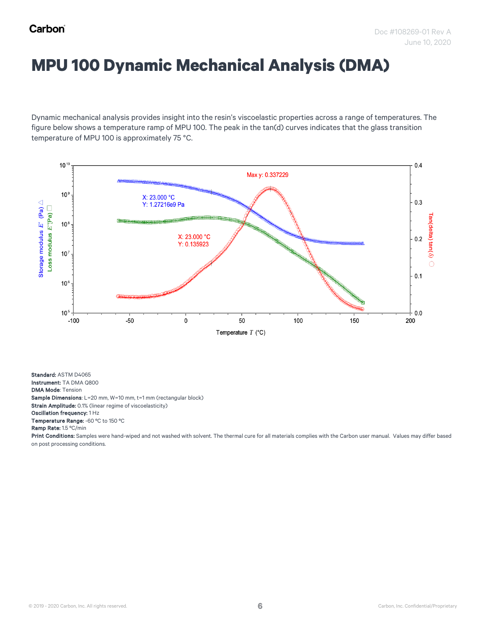# **MPU 100 Dynamic Mechanical Analysis (DMA)**

Dynamic mechanical analysis provides insight into the resin's viscoelastic properties across a range of temperatures. The figure below shows a temperature ramp of MPU 100. The peak in the tan(d) curves indicates that the glass transition temperature of MPU 100 is approximately 75 °C.



Standard: ASTM D4065 Instrument: TA DMA Q800 DMA Mode: Tension Sample Dimensions: L=20 mm, W=10 mm, t=1 mm (rectangular block) Strain Amplitude: 0.1% (linear regime of viscoelasticity) Oscillation frequency: 1 Hz Temperature Range: -60 °C to 150 °C Ramp Rate: 1.5 ºC/min

Print Conditions: Samples were hand-wiped and not washed with solvent. The thermal cure for all materials complies with the Carbon user manual. Values may differ based on post processing conditions.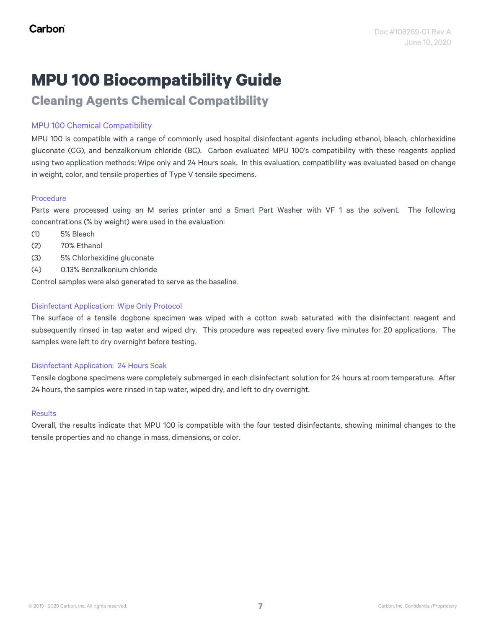**Cleaning Agents Chemical Compatibility**

# MPU 100 Chemical Compatibility

MPU 100 is compatible with a range of commonly used hospital disinfectant agents including ethanol, bleach, chlorhexidine gluconate (CG), and benzalkonium chloride (BC). Carbon evaluated MPU 100's compatibility with these reagents applied using two application methods: Wipe only and 24 Hours soak. In this evaluation, compatibility was evaluated based on change in weight, color, and tensile properties of Type V tensile specimens.

# Procedure

Parts were processed using an M series printer and a Smart Part Washer with VF 1 as the solvent. The following concentrations (% by weight) were used in the evaluation:

- (1) 5% Bleach
- (2) 70% Ethanol
- (3) 5% Chlorhexidine gluconate
- (4) 0.13% Benzalkonium chloride

Control samples were also generated to serve as the baseline.

### Disinfectant Application: Wipe Only Protocol

The surface of a tensile dogbone specimen was wiped with a cotton swab saturated with the disinfectant reagent and subsequently rinsed in tap water and wiped dry. This procedure was repeated every five minutes for 20 applications. The samples were left to dry overnight before testing.

### Disinfectant Application: 24 Hours Soak

Tensile dogbone specimens were completely submerged in each disinfectant solution for 24 hours at room temperature. After 24 hours, the samples were rinsed in tap water, wiped dry, and left to dry overnight.

### **Results**

Overall, the results indicate that MPU 100 is compatible with the four tested disinfectants, showing minimal changes to the tensile properties and no change in mass, dimensions, or color.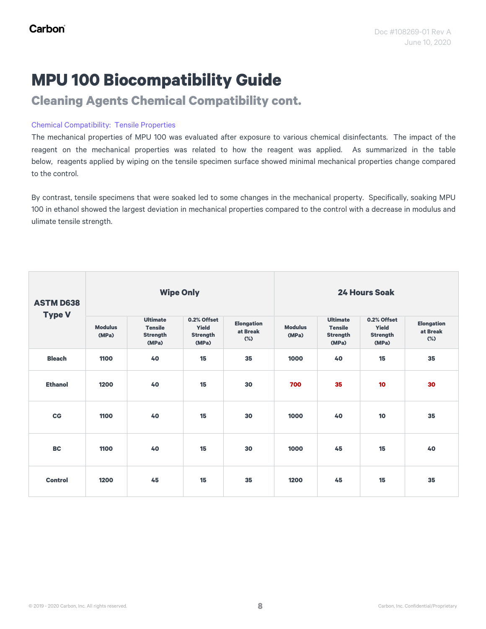**Cleaning Agents Chemical Compatibility cont.**

### Chemical Compatibility: Tensile Properties

The mechanical properties of MPU 100 was evaluated after exposure to various chemical disinfectants. The impact of the reagent on the mechanical properties was related to how the reagent was applied. As summarized in the table below, reagents applied by wiping on the tensile specimen surface showed minimal mechanical properties change compared to the control.

By contrast, tensile specimens that were soaked led to some changes in the mechanical property. Specifically, soaking MPU 100 in ethanol showed the largest deviation in mechanical properties compared to the control with a decrease in modulus and ulimate tensile strength.

| <b>ASTM D638</b> |                         | <b>Wipe Only</b>                                              |                                                  |                                         |                         |                                                               | <b>24 Hours Soak</b>                             |                                         |
|------------------|-------------------------|---------------------------------------------------------------|--------------------------------------------------|-----------------------------------------|-------------------------|---------------------------------------------------------------|--------------------------------------------------|-----------------------------------------|
| <b>Type V</b>    | <b>Modulus</b><br>(MPa) | <b>Ultimate</b><br><b>Tensile</b><br><b>Strength</b><br>(MPa) | 0.2% Offset<br>Yield<br><b>Strength</b><br>(MPa) | <b>Elongation</b><br>at Break<br>$(\%)$ | <b>Modulus</b><br>(MPa) | <b>Ultimate</b><br><b>Tensile</b><br><b>Strength</b><br>(MPa) | 0.2% Offset<br>Yield<br><b>Strength</b><br>(MPa) | <b>Elongation</b><br>at Break<br>$(\%)$ |
| <b>Bleach</b>    | 1100                    | 40                                                            | 15                                               | 35                                      | 1000                    | 40                                                            | 15                                               | 35                                      |
| <b>Ethanol</b>   | 1200                    | 40                                                            | 15                                               | 30                                      | 700                     | 35                                                            | 10                                               | 30                                      |
| $_{\rm CG}$      | 1100                    | 40                                                            | 15                                               | 30                                      | 1000                    | 40                                                            | 10                                               | 35                                      |
| <b>BC</b>        | 1100                    | 40                                                            | 15                                               | 30                                      | 1000                    | 45                                                            | 15                                               | 40                                      |
| <b>Control</b>   | 1200                    | 45                                                            | 15                                               | 35                                      | 1200                    | 45                                                            | 15                                               | 35                                      |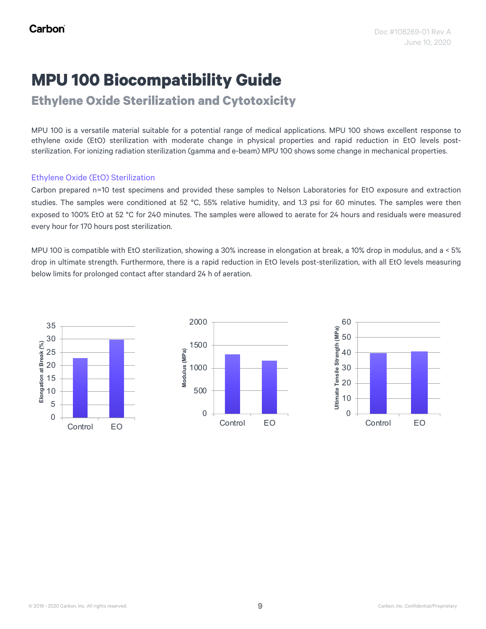**Ethylene Oxide Sterilization and Cytotoxicity**

MPU 100 is a versatile material suitable for a potential range of medical applications. MPU 100 shows excellent response to ethylene oxide (EtO) sterilization with moderate change in physical properties and rapid reduction in EtO levels poststerilization. For ionizing radiation sterilization (gamma and e-beam) MPU 100 shows some change in mechanical properties.

### Ethylene Oxide (EtO) Sterilization

Carbon prepared n=10 test specimens and provided these samples to Nelson Laboratories for EtO exposure and extraction studies. The samples were conditioned at 52 °C, 55% relative humidity, and 1.3 psi for 60 minutes. The samples were then exposed to 100% EtO at 52 °C for 240 minutes. The samples were allowed to aerate for 24 hours and residuals were measured every hour for 170 hours post sterilization.

MPU 100 is compatible with EtO sterilization, showing a 30% increase in elongation at break, a 10% drop in modulus, and a < 5% drop in ultimate strength. Furthermore, there is a rapid reduction in EtO levels post-sterilization, with all EtO levels measuring below limits for prolonged contact after standard 24 h of aeration.

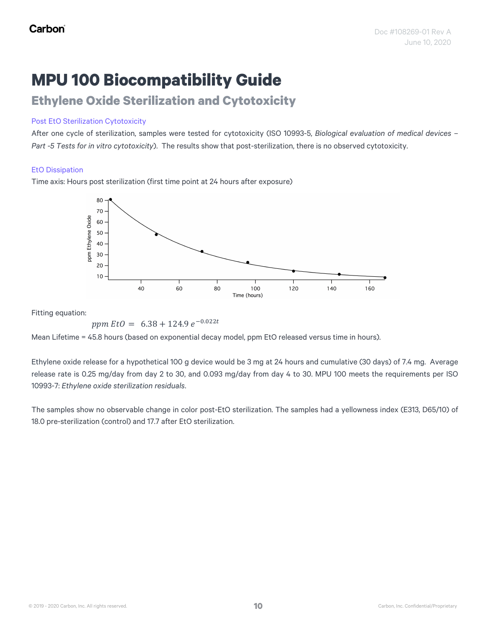# **Ethylene Oxide Sterilization and Cytotoxicity**

### Post EtO Sterilization Cytotoxicity

After one cycle of sterilization, samples were tested for cytotoxicity (ISO 10993-5, *Biological evaluation of medical devices – Part -5 Tests for in vitro cytotoxicity*). The results show that post-sterilization, there is no observed cytotoxicity.

### EtO Dissipation

Time axis: Hours post sterilization (first time point at 24 hours after exposure)



Fitting equation:

ppm  $Et0 = 6.38 + 124.9 e^{-0.022t}$ 

Mean Lifetime = 45.8 hours (based on exponential decay model, ppm EtO released versus time in hours).

Ethylene oxide release for a hypothetical 100 g device would be 3 mg at 24 hours and cumulative (30 days) of 7.4 mg. Average release rate is 0.25 mg/day from day 2 to 30, and 0.093 mg/day from day 4 to 30. MPU 100 meets the requirements per ISO 10993-7: *Ethylene oxide sterilization residuals*.

The samples show no observable change in color post-EtO sterilization. The samples had a yellowness index (E313, D65/10) of 18.0 pre-sterilization (control) and 17.7 after EtO sterilization.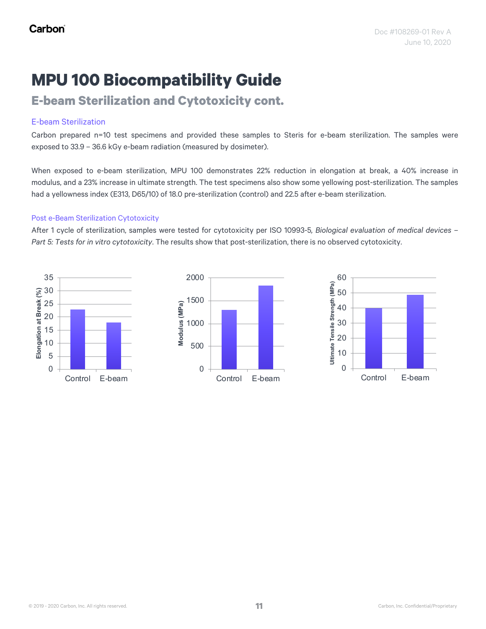**E-beam Sterilization and Cytotoxicity cont.**

# E-beam Sterilization

Carbon prepared n=10 test specimens and provided these samples to Steris for e-beam sterilization. The samples were exposed to 33.9 – 36.6 kGy e-beam radiation (measured by dosimeter).

When exposed to e-beam sterilization, MPU 100 demonstrates 22% reduction in elongation at break, a 40% increase in modulus, and a 23% increase in ultimate strength. The test specimens also show some yellowing post-sterilization. The samples had a yellowness index (E313, D65/10) of 18.0 pre-sterilization (control) and 22.5 after e-beam sterilization.

# Post e-Beam Sterilization Cytotoxicity

After 1 cycle of sterilization, samples were tested for cytotoxicity per ISO 10993-5*, Biological evaluation of medical devices – Part 5: Tests for in vitro cytotoxicity*. The results show that post-sterilization, there is no observed cytotoxicity.

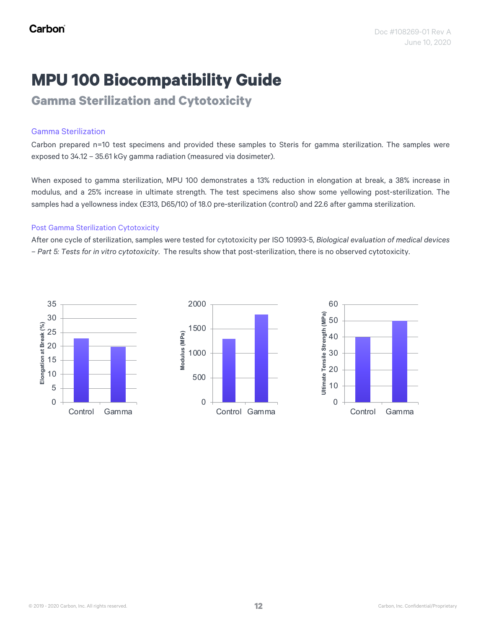**Gamma Sterilization and Cytotoxicity**

# Gamma Sterilization

Carbon prepared n=10 test specimens and provided these samples to Steris for gamma sterilization. The samples were exposed to 34.12 – 35.61 kGy gamma radiation (measured via dosimeter).

When exposed to gamma sterilization, MPU 100 demonstrates a 13% reduction in elongation at break, a 38% increase in modulus, and a 25% increase in ultimate strength. The test specimens also show some yellowing post-sterilization. The samples had a yellowness index (E313, D65/10) of 18.0 pre-sterilization (control) and 22.6 after gamma sterilization.

### Post Gamma Sterilization Cytotoxicity

After one cycle of sterilization, samples were tested for cytotoxicity per ISO 10993-5, *Biological evaluation of medical devices – Part 5: Tests for in vitro cytotoxicity*. The results show that post-sterilization, there is no observed cytotoxicity.



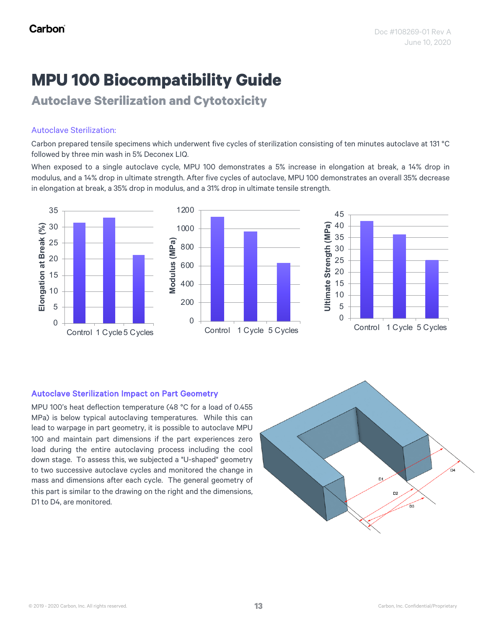**Autoclave Sterilization and Cytotoxicity**

# Autoclave Sterilization:

Carbon prepared tensile specimens which underwent five cycles of sterilization consisting of ten minutes autoclave at 131 °C followed by three min wash in 5% Deconex LIQ.

When exposed to a single autoclave cycle, MPU 100 demonstrates a 5% increase in elongation at break, a 14% drop in modulus, and a 14% drop in ultimate strength. After five cycles of autoclave, MPU 100 demonstrates an overall 35% decrease in elongation at break, a 35% drop in modulus, and a 31% drop in ultimate tensile strength.



# Autoclave Sterilization Impact on Part Geometry

MPU 100's heat deflection temperature (48 °C for a load of 0.455 MPa) is below typical autoclaving temperatures. While this can lead to warpage in part geometry, it is possible to autoclave MPU 100 and maintain part dimensions if the part experiences zero load during the entire autoclaving process including the cool down stage. To assess this, we subjected a "U-shaped" geometry to two successive autoclave cycles and monitored the change in mass and dimensions after each cycle. The general geometry of this part is similar to the drawing on the right and the dimensions, D1 to D4, are monitored.

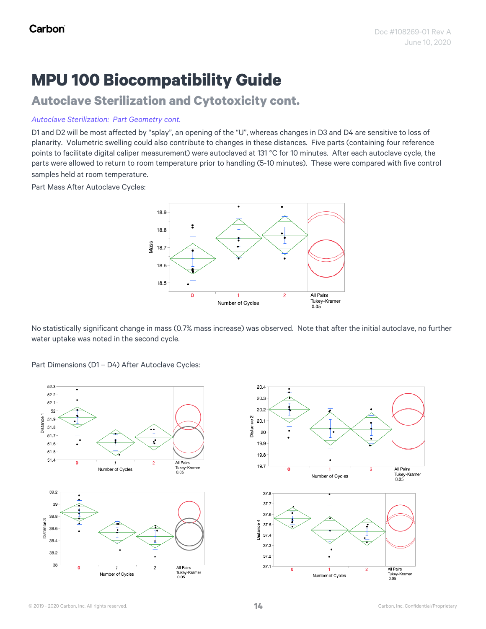# **Autoclave Sterilization and Cytotoxicity cont.**

### *Autoclave Sterilization: Part Geometry cont.*

D1 and D2 will be most affected by "splay", an opening of the "U", whereas changes in D3 and D4 are sensitive to loss of planarity. Volumetric swelling could also contribute to changes in these distances. Five parts (containing four reference points to facilitate digital caliper measurement) were autoclaved at 131 °C for 10 minutes. After each autoclave cycle, the parts were allowed to return to room temperature prior to handling (5-10 minutes). These were compared with five control samples held at room temperature.

Part Mass After Autoclave Cycles:



No statistically significant change in mass (0.7% mass increase) was observed. Note that after the initial autoclave, no further water uptake was noted in the second cycle.

Part Dimensions (D1 – D4) After Autoclave Cycles:



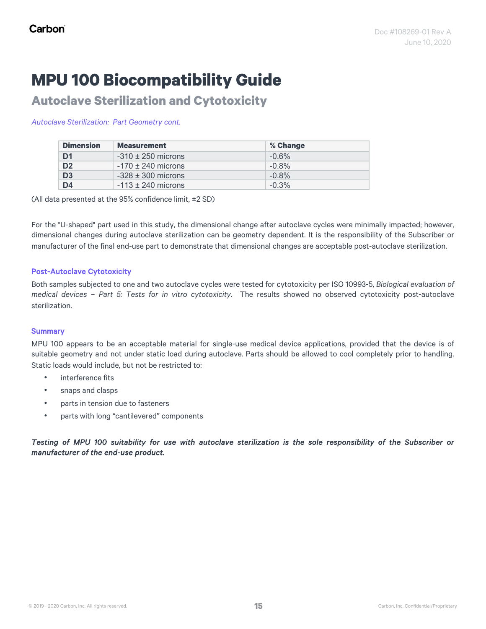**Autoclave Sterilization and Cytotoxicity**

### *Autoclave Sterilization: Part Geometry cont.*

| <b>Dimension</b> | <b>Measurement</b>     | % Change |
|------------------|------------------------|----------|
| D <sub>1</sub>   | $-310 \pm 250$ microns | $-0.6%$  |
| D <sub>2</sub>   | $-170 \pm 240$ microns | $-0.8%$  |
| D <sub>3</sub>   | $-328 \pm 300$ microns | $-0.8%$  |
| D <sub>4</sub>   | $-113 \pm 240$ microns | $-0.3%$  |

(All data presented at the 95% confidence limit, ±2 SD)

For the "U-shaped" part used in this study, the dimensional change after autoclave cycles were minimally impacted; however, dimensional changes during autoclave sterilization can be geometry dependent. It is the responsibility of the Subscriber or manufacturer of the final end-use part to demonstrate that dimensional changes are acceptable post-autoclave sterilization.

# Post-Autoclave Cytotoxicity

Both samples subjected to one and two autoclave cycles were tested for cytotoxicity per ISO 10993-5, *Biological evaluation of medical devices – Part 5: Tests for in vitro cytotoxicity*. The results showed no observed cytotoxicity post-autoclave sterilization.

### **Summary**

MPU 100 appears to be an acceptable material for single-use medical device applications, provided that the device is of suitable geometry and not under static load during autoclave. Parts should be allowed to cool completely prior to handling. Static loads would include, but not be restricted to:

- interference fits
- snaps and clasps
- parts in tension due to fasteners
- parts with long "cantilevered" components

# Testing of MPU 100 suitability for use with autoclave sterilization is the sole responsibility of the Subscriber or *manufacturer of the end-use product.*